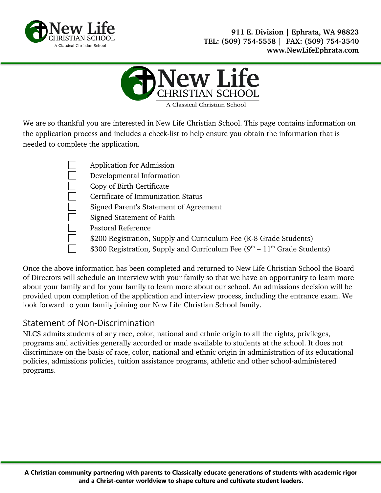



We are so thankful you are interested in New Life Christian School. This page contains information on the application process and includes a check-list to help ensure you obtain the information that is needed to complete the application.

> Application for Admission Developmental Information Copy of Birth Certificate Certificate of Immunization Status Signed Parent's Statement of Agreement Signed Statement of Faith Pastoral Reference \$200 Registration, Supply and Curriculum Fee (K-8 Grade Students) \$300 Registration, Supply and Curriculum Fee  $(9<sup>th</sup> – 11<sup>th</sup>$  Grade Students)

Once the above information has been completed and returned to New Life Christian School the Board of Directors will schedule an interview with your family so that we have an opportunity to learn more about your family and for your family to learn more about our school. An admissions decision will be provided upon completion of the application and interview process, including the entrance exam. We look forward to your family joining our New Life Christian School family.

### Statement of Non-Discrimination

NLCS admits students of any race, color, national and ethnic origin to all the rights, privileges, programs and activities generally accorded or made available to students at the school. It does not discriminate on the basis of race, color, national and ethnic origin in administration of its educational policies, admissions policies, tuition assistance programs, athletic and other school-administered programs.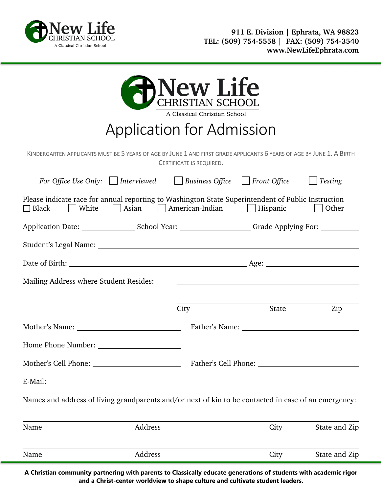

|                                                                                                                                 |                                    | <b>B</b> New Life<br>A Classical Christian School |       |               |
|---------------------------------------------------------------------------------------------------------------------------------|------------------------------------|---------------------------------------------------|-------|---------------|
|                                                                                                                                 | <b>Application for Admission</b>   |                                                   |       |               |
| KINDERGARTEN APPLICANTS MUST BE 5 YEARS OF AGE BY JUNE 1 AND FIRST GRADE APPLICANTS 6 YEARS OF AGE BY JUNE 1. A BIRTH           |                                    | CERTIFICATE IS REQUIRED.                          |       |               |
| For Office Use Only:   Interviewed   Business Office   Front Office   Testing                                                   |                                    |                                                   |       |               |
| Please indicate race for annual reporting to Washington State Superintendent of Public Instruction<br>    White<br>$\Box$ Black | Asian   American-Indian   Hispanic |                                                   |       | Other         |
| Application Date: ________________________School Year: ________________________Grade Applying For: ___________                  |                                    |                                                   |       |               |
| Student's Legal Name: Name and Student's Legal Name: Name and Student's Legal Name:                                             |                                    |                                                   |       |               |
|                                                                                                                                 |                                    |                                                   |       |               |
| Mailing Address where Student Resides:                                                                                          |                                    |                                                   |       |               |
|                                                                                                                                 |                                    |                                                   |       |               |
|                                                                                                                                 |                                    | City                                              | State | Zip           |
| Mother's Name: Father's Name: Father's Name:                                                                                    |                                    |                                                   |       |               |
|                                                                                                                                 |                                    |                                                   |       |               |
|                                                                                                                                 |                                    |                                                   |       |               |
|                                                                                                                                 |                                    |                                                   |       |               |
| Names and address of living grandparents and/or next of kin to be contacted in case of an emergency:                            |                                    |                                                   |       |               |
| Name                                                                                                                            | Address                            |                                                   | City  | State and Zip |
| Name                                                                                                                            | Address                            |                                                   | City  | State and Zip |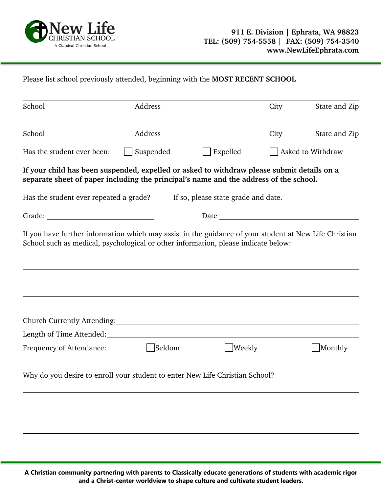

Please list school previously attended, beginning with the **MOST RECENT SCHOOL**

| School                                                                                                                                                                                       | Address   |          | City | State and Zip     |
|----------------------------------------------------------------------------------------------------------------------------------------------------------------------------------------------|-----------|----------|------|-------------------|
| School                                                                                                                                                                                       | Address   |          | City | State and Zip     |
| Has the student ever been:                                                                                                                                                                   | Suspended | Expelled |      | Asked to Withdraw |
| If your child has been suspended, expelled or asked to withdraw please submit details on a<br>separate sheet of paper including the principal's name and the address of the school.          |           |          |      |                   |
| Has the student ever repeated a grade? _____ If so, please state grade and date.                                                                                                             |           |          |      |                   |
|                                                                                                                                                                                              |           |          |      |                   |
| If you have further information which may assist in the guidance of your student at New Life Christian<br>School such as medical, psychological or other information, please indicate below: |           |          |      |                   |
|                                                                                                                                                                                              |           |          |      |                   |
|                                                                                                                                                                                              |           |          |      |                   |
|                                                                                                                                                                                              |           |          |      |                   |
|                                                                                                                                                                                              |           |          |      |                   |
| Length of Time Attended:                                                                                                                                                                     |           |          |      |                   |
| Frequency of Attendance:                                                                                                                                                                     | Seldom    | Weekly   |      | Monthly           |
| Why do you desire to enroll your student to enter New Life Christian School?                                                                                                                 |           |          |      |                   |
|                                                                                                                                                                                              |           |          |      |                   |
|                                                                                                                                                                                              |           |          |      |                   |
|                                                                                                                                                                                              |           |          |      |                   |
|                                                                                                                                                                                              |           |          |      |                   |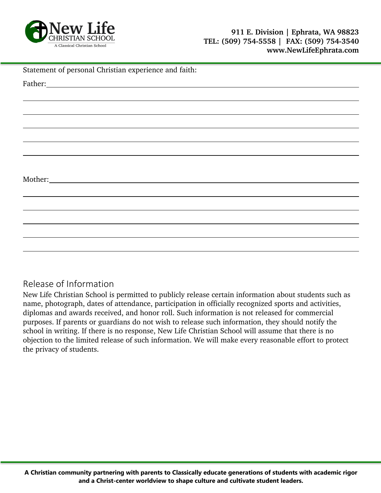

|  | Statement of personal Christian experience and faith: |  |
|--|-------------------------------------------------------|--|
|--|-------------------------------------------------------|--|

| Father: <u>Andrea Barbara and American and American and American and American and American and American and American and American and American and American and American and American and American and American and American and</u> |  |  |  |
|--------------------------------------------------------------------------------------------------------------------------------------------------------------------------------------------------------------------------------------|--|--|--|
|                                                                                                                                                                                                                                      |  |  |  |
|                                                                                                                                                                                                                                      |  |  |  |
|                                                                                                                                                                                                                                      |  |  |  |
|                                                                                                                                                                                                                                      |  |  |  |
|                                                                                                                                                                                                                                      |  |  |  |
|                                                                                                                                                                                                                                      |  |  |  |
|                                                                                                                                                                                                                                      |  |  |  |
|                                                                                                                                                                                                                                      |  |  |  |
|                                                                                                                                                                                                                                      |  |  |  |
|                                                                                                                                                                                                                                      |  |  |  |
|                                                                                                                                                                                                                                      |  |  |  |
|                                                                                                                                                                                                                                      |  |  |  |
|                                                                                                                                                                                                                                      |  |  |  |
|                                                                                                                                                                                                                                      |  |  |  |
|                                                                                                                                                                                                                                      |  |  |  |

#### Release of Information

New Life Christian School is permitted to publicly release certain information about students such as name, photograph, dates of attendance, participation in officially recognized sports and activities, diplomas and awards received, and honor roll. Such information is not released for commercial purposes. If parents or guardians do not wish to release such information, they should notify the school in writing. If there is no response, New Life Christian School will assume that there is no objection to the limited release of such information. We will make every reasonable effort to protect the privacy of students.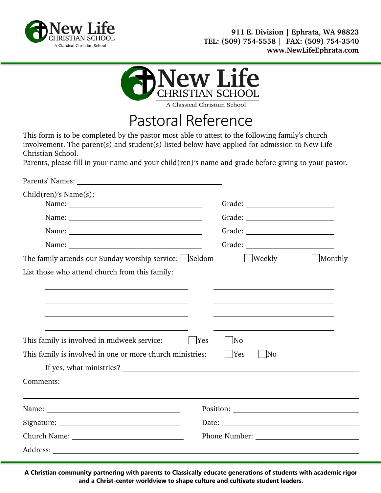



### Pastoral Reference

This form is to be completed by the pastor most able to attest to the following family's church involvement. The parent(s) and student(s) listed below have applied for admission to New Life Christian School.

Parents, please fill in your name and your child(ren)'s name and grade before giving to your pastor.

| Child(ren)'s Name(s):                                     |                     |         |  |  |
|-----------------------------------------------------------|---------------------|---------|--|--|
|                                                           |                     |         |  |  |
|                                                           |                     |         |  |  |
|                                                           |                     |         |  |  |
| The family attends our Sunday worship service: Seldom     | Weekly              | Monthly |  |  |
| List those who attend church from this family:            |                     |         |  |  |
|                                                           |                     |         |  |  |
|                                                           |                     |         |  |  |
|                                                           |                     |         |  |  |
|                                                           |                     |         |  |  |
| This family is involved in midweek service:<br>$ $ Yes    | $\overline{\rm No}$ |         |  |  |
| This family is involved in one or more church ministries: | $ $ Yes<br> No      |         |  |  |
|                                                           |                     |         |  |  |
|                                                           |                     |         |  |  |
|                                                           |                     |         |  |  |
|                                                           |                     |         |  |  |
|                                                           |                     |         |  |  |
| Church Name:                                              |                     |         |  |  |
|                                                           |                     |         |  |  |
|                                                           |                     |         |  |  |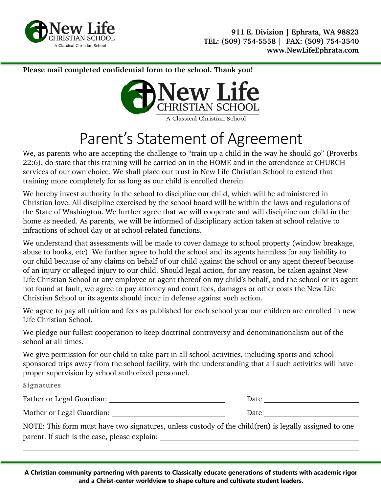

**Please mail completed confidential form to the school. Thank you!**



# Parent's Statement of Agreement

We, as parents who are accepting the challenge to "train up a child in the way he should go" (Proverbs 22:6), do state that this training will be carried on in the HOME and in the attendance at CHURCH services of our own choice. We shall place our trust in New Life Christian School to extend that training more completely for as long as our child is enrolled therein.

We hereby invest authority in the school to discipline our child, which will be administered in Christian love. All discipline exercised by the school board will be within the laws and regulations of the State of Washington. We further agree that we will cooperate and will discipline our child in the home as needed. As parents, we will be informed of disciplinary action taken at school relative to infractions of school day or at school-related functions.

We understand that assessments will be made to cover damage to school property (window breakage, abuse to books, etc). We further agree to hold the school and its agents harmless for any liability to our child because of any claims on behalf of our child against the school or any agent thereof because of an injury or alleged injury to our child. Should legal action, for any reason, be taken against New Life Christian School or any employee or agent thereof on my child's behalf, and the school or its agent not found at fault, we agree to pay attorney and court fees, damages or other costs the New Life Christian School or its agents should incur in defense against such action.

We agree to pay all tuition and fees as published for each school year our children are enrolled in new Life Christian School.

We pledge our fullest cooperation to keep doctrinal controversy and denominationalism out of the school at all times.

We give permission for our child to take part in all school activities, including sports and school sponsored trips away from the school facility, with the understanding that all such activities will have proper supervision by school authorized personnel.

**Signatures**

Father or Legal Guardian: Date

Mother or Legal Guardian: The Contract of the Date of Date Date Date

NOTE: This form must have two signatures, unless custody of the child(ren) is legally assigned to one parent. If such is the case, please explain: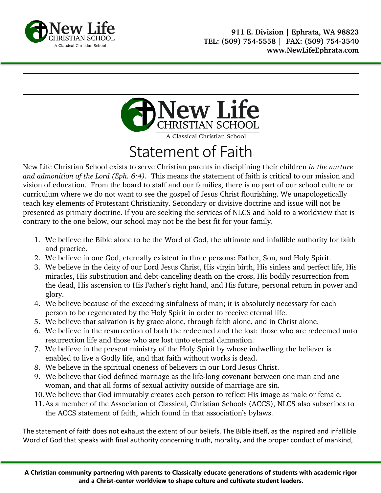



## Statement of Faith

New Life Christian School exists to serve Christian parents in disciplining their children *in the nurture and admonition of the Lord (Eph. 6:4).* This means the statement of faith is critical to our mission and vision of education. From the board to staff and our families, there is no part of our school culture or curriculum where we do not want to see the gospel of Jesus Christ flourishing. We unapologetically teach key elements of Protestant Christianity. Secondary or divisive doctrine and issue will not be presented as primary doctrine. If you are seeking the services of NLCS and hold to a worldview that is contrary to the one below, our school may not be the best fit for your family.

- 1. We believe the Bible alone to be the Word of God, the ultimate and infallible authority for faith and practice.
- 2. We believe in one God, eternally existent in three persons: Father, Son, and Holy Spirit.
- 3. We believe in the deity of our Lord Jesus Christ, His virgin birth, His sinless and perfect life, His miracles, His substitution and debt-canceling death on the cross, His bodily resurrection from the dead, His ascension to His Father's right hand, and His future, personal return in power and glory.
- 4. We believe because of the exceeding sinfulness of man; it is absolutely necessary for each person to be regenerated by the Holy Spirit in order to receive eternal life.
- 5. We believe that salvation is by grace alone, through faith alone, and in Christ alone.
- 6. We believe in the resurrection of both the redeemed and the lost: those who are redeemed unto resurrection life and those who are lost unto eternal damnation.
- 7. We believe in the present ministry of the Holy Spirit by whose indwelling the believer is enabled to live a Godly life, and that faith without works is dead.
- 8. We believe in the spiritual oneness of believers in our Lord Jesus Christ.
- 9. We believe that God defined marriage as the life-long covenant between one man and one woman, and that all forms of sexual activity outside of marriage are sin.
- 10.We believe that God immutably creates each person to reflect His image as male or female.
- 11.As a member of the Association of Classical, Christian Schools (ACCS), NLCS also subscribes to the ACCS statement of faith, which found in that association's bylaws.

The statement of faith does not exhaust the extent of our beliefs. The Bible itself, as the inspired and infallible Word of God that speaks with final authority concerning truth, morality, and the proper conduct of mankind,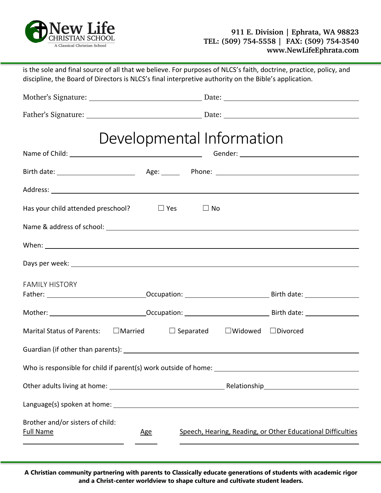

| discipline, the Board of Directors is NLCS's final interpretive authority on the Bible's application. |                                                                |
|-------------------------------------------------------------------------------------------------------|----------------------------------------------------------------|
|                                                                                                       |                                                                |
|                                                                                                       |                                                                |
| Developmental Information                                                                             |                                                                |
|                                                                                                       |                                                                |
|                                                                                                       |                                                                |
|                                                                                                       |                                                                |
| Has your child attended preschool? $\Box$ Yes                                                         | $\square$ No                                                   |
|                                                                                                       |                                                                |
|                                                                                                       |                                                                |
|                                                                                                       |                                                                |
| <b>FAMILY HISTORY</b>                                                                                 |                                                                |
|                                                                                                       |                                                                |
|                                                                                                       |                                                                |
| <b>Marital Status of Parents:</b>                                                                     | $\Box$ Married $\Box$ Separated $\Box$ Widowed $\Box$ Divorced |
| Guardian (if other than parents):                                                                     |                                                                |
|                                                                                                       |                                                                |
|                                                                                                       |                                                                |
|                                                                                                       |                                                                |
| Brother and/or sisters of child:<br><b>Full Name</b><br><u>Age</u>                                    | Speech, Hearing, Reading, or Other Educational Difficulties    |

is the sole and final source of all that we believe. For purposes of NLCS's faith, doctrine, practice, policy, and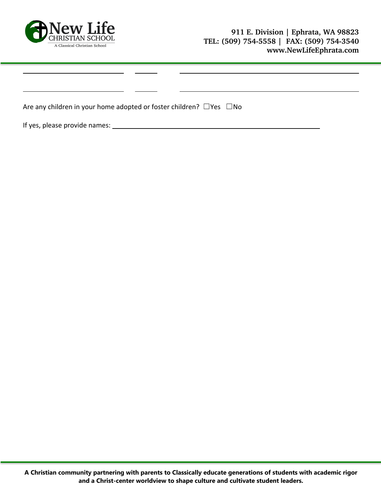

| Are any children in your home adopted or foster children? $\Box$ Yes $\Box$ No |  |  |  |  |  |  |  |
|--------------------------------------------------------------------------------|--|--|--|--|--|--|--|
|--------------------------------------------------------------------------------|--|--|--|--|--|--|--|

If yes, please provide names: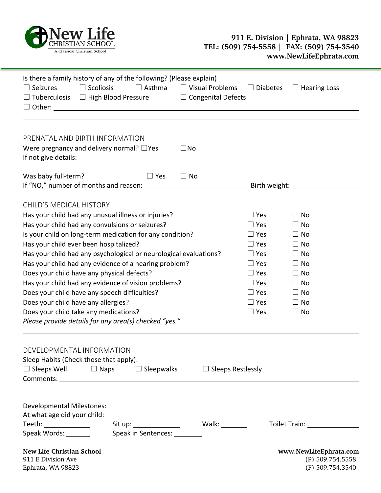

#### **911 E. Division | Ephrata, WA 98823 TEL: (509) 754-5558 | FAX: (509) 754-3540 www.NewLifeEphrata.com**

| Is there a family history of any of the following? (Please explain)<br>$\Box$ Scoliosis<br>$\Box$ Seizures<br>$\Box$ Tuberculosis $\Box$ High Blood Pressure $\Box$ Congenital Defects                                                                                                                                                                                                                                                                                                                                                                                                                                                                                      | $\Box$ Asthma                | $\Box$ Visual Problems   | $\Box$ Diabetes                                                                                                                                        | $\Box$ Hearing Loss                                                                                                                         |
|-----------------------------------------------------------------------------------------------------------------------------------------------------------------------------------------------------------------------------------------------------------------------------------------------------------------------------------------------------------------------------------------------------------------------------------------------------------------------------------------------------------------------------------------------------------------------------------------------------------------------------------------------------------------------------|------------------------------|--------------------------|--------------------------------------------------------------------------------------------------------------------------------------------------------|---------------------------------------------------------------------------------------------------------------------------------------------|
| PRENATAL AND BIRTH INFORMATION<br>Were pregnancy and delivery normal? $\Box$ Yes                                                                                                                                                                                                                                                                                                                                                                                                                                                                                                                                                                                            |                              | $\square$ No             |                                                                                                                                                        |                                                                                                                                             |
| Was baby full-term?                                                                                                                                                                                                                                                                                                                                                                                                                                                                                                                                                                                                                                                         | $\Box$ Yes                   | $\Box$ No                |                                                                                                                                                        |                                                                                                                                             |
| <b>CHILD'S MEDICAL HISTORY</b><br>Has your child had any unusual illness or injuries?<br>Has your child had any convulsions or seizures?<br>Is your child on long-term medication for any condition?<br>Has your child ever been hospitalized?<br>Has your child had any psychological or neurological evaluations?<br>Has your child had any evidence of a hearing problem?<br>Does your child have any physical defects?<br>Has your child had any evidence of vision problems?<br>Does your child have any speech difficulties?<br>Does your child have any allergies?<br>Does your child take any medications?<br>Please provide details for any area(s) checked "yes." |                              |                          | $\Box$ Yes<br>$\Box$ Yes<br>$\Box$ Yes<br>$\Box$ Yes<br>$\Box$ Yes<br>$\Box$ Yes<br>$\Box$ Yes<br>$\Box$ Yes<br>$\Box$ Yes<br>$\Box$ Yes<br>$\Box$ Yes | $\Box$ No<br>$\Box$ No<br>$\Box$ No<br>$\Box$ No<br>$\Box$ No<br>$\Box$ No<br>$\Box$ No<br>$\Box$ No<br>$\Box$ No<br>$\Box$ No<br>$\Box$ No |
| DEVELOPMENTAL INFORMATION<br>Sleep Habits (Check those that apply):<br>$\Box$ Sleeps Well $\Box$ Naps                                                                                                                                                                                                                                                                                                                                                                                                                                                                                                                                                                       | $\Box$ Sleepwalks            | $\Box$ Sleeps Restlessly |                                                                                                                                                        |                                                                                                                                             |
| <b>Developmental Milestones:</b><br>At what age did your child:<br>Teeth: ______________<br>Speak Words: _______                                                                                                                                                                                                                                                                                                                                                                                                                                                                                                                                                            | Speak in Sentences: ________ |                          |                                                                                                                                                        | Toilet Train: 1997                                                                                                                          |
| New Life Christian School<br>911 E Division Ave<br>Ephrata, WA 98823                                                                                                                                                                                                                                                                                                                                                                                                                                                                                                                                                                                                        |                              |                          |                                                                                                                                                        | www.NewLifeEphrata.com<br>(P) 509.754.5558<br>(F) 509.754.3540                                                                              |